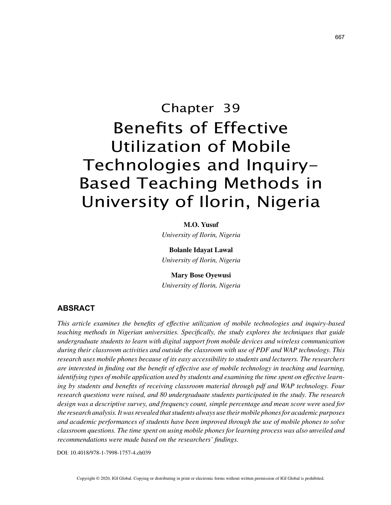# Chapter 39 Benefits of Effective Utilization of Mobile Technologies and Inquiry-Based Teaching Methods in University of Ilorin, Nigeria

#### **M.O. Yusuf**

*University of Ilorin, Nigeria*

**Bolanle Idayat Lawal** *University of Ilorin, Nigeria*

## **Mary Bose Oyewusi**

*University of Ilorin, Nigeria*

#### **ABSRACT**

*This article examines the benefits of effective utilization of mobile technologies and inquiry-based teaching methods in Nigerian universities. Specifically, the study explores the techniques that guide undergraduate students to learn with digital support from mobile devices and wireless communication during their classroom activities and outside the classroom with use of PDF and WAP technology. This research uses mobile phones because of its easy accessibility to students and lecturers. The researchers are interested in finding out the benefit of effective use of mobile technology in teaching and learning, identifying types of mobile application used by students and examining the time spent on effective learning by students and benefits of receiving classroom material through pdf and WAP technology. Four research questions were raised, and 80 undergraduate students participated in the study. The research design was a descriptive survey, and frequency count, simple percentage and mean score were used for the research analysis. It was revealed that students always use their mobile phones for academic purposes and academic performances of students have been improved through the use of mobile phones to solve classroom questions. The time spent on using mobile phones for learning process was also unveiled and recommendations were made based on the researchers' findings.*

DOI: 10.4018/978-1-7998-1757-4.ch039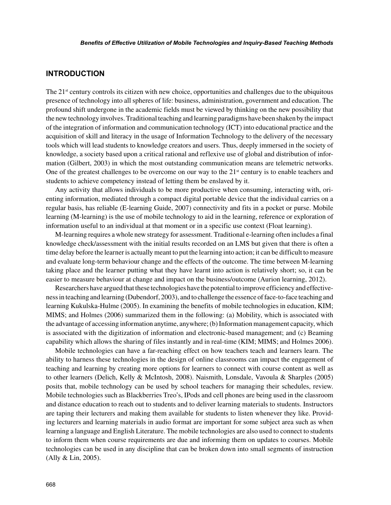## **INTRODUCTION**

The 21<sup>st</sup> century controls its citizen with new choice, opportunities and challenges due to the ubiquitous presence of technology into all spheres of life: business, administration, government and education. The profound shift undergone in the academic fields must be viewed by thinking on the new possibility that the new technology involves. Traditional teaching and learning paradigms have been shaken by the impact of the integration of information and communication technology (ICT) into educational practice and the acquisition of skill and literacy in the usage of Information Technology to the delivery of the necessary tools which will lead students to knowledge creators and users. Thus, deeply immersed in the society of knowledge, a society based upon a critical rational and reflexive use of global and distribution of information (Gilbert, 2003) in which the most outstanding communication means are telemetric networks. One of the greatest challenges to be overcome on our way to the  $21<sup>st</sup>$  century is to enable teachers and students to achieve competency instead of letting them be enslaved by it.

Any activity that allows individuals to be more productive when consuming, interacting with, orienting information, mediated through a compact digital portable device that the individual carries on a regular basis, has reliable (E-learning Guide, 2007) connectivity and fits in a pocket or purse. Mobile learning (M-learning) is the use of mobile technology to aid in the learning, reference or exploration of information useful to an individual at that moment or in a specific use context (Float learning).

M-learning requires a whole new strategy for assessment. Traditional e-learning often includes a final knowledge check/assessment with the initial results recorded on an LMS but given that there is often a time delay before the learner is actually meant to put the learning into action; it can be difficult to measure and evaluate long-term behaviour change and the effects of the outcome. The time between M-learning taking place and the learner putting what they have learnt into action is relatively short; so, it can be easier to measure behaviour at change and impact on the business/outcome (Aurion learning, 2012).

Researchers have argued that these technologies have the potential to improve efficiency and effectiveness in teaching and learning (Dubendorf, 2003), and to challenge the essence of face-to-face teaching and learning Kukulska-Hulme (2005). In examining the benefits of mobile technologies in education, KIM; MIMS; and Holmes (2006) summarized them in the following: (a) Mobility, which is associated with the advantage of accessing information anytime, anywhere; (b) Information management capacity, which is associated with the digitization of information and electronic-based management; and (c) Beaming capability which allows the sharing of files instantly and in real-time (KIM; MIMS; and Holmes 2006).

Mobile technologies can have a far-reaching effect on how teachers teach and learners learn. The ability to harness these technologies in the design of online classrooms can impact the engagement of teaching and learning by creating more options for learners to connect with course content as well as to other learners (Delich, Kelly & McIntosh, 2008). Naismith, Lonsdale, Vavoula & Sharples (2005) posits that, mobile technology can be used by school teachers for managing their schedules, review. Mobile technologies such as Blackberries Treo's, IPods and cell phones are being used in the classroom and distance education to reach out to students and to deliver learning materials to students. Instructors are taping their lecturers and making them available for students to listen whenever they like. Providing lecturers and learning materials in audio format are important for some subject area such as when learning a language and English Literature. The mobile technologies are also used to connect to students to inform them when course requirements are due and informing them on updates to courses. Mobile technologies can be used in any discipline that can be broken down into small segments of instruction (Ally & Lin, 2005).